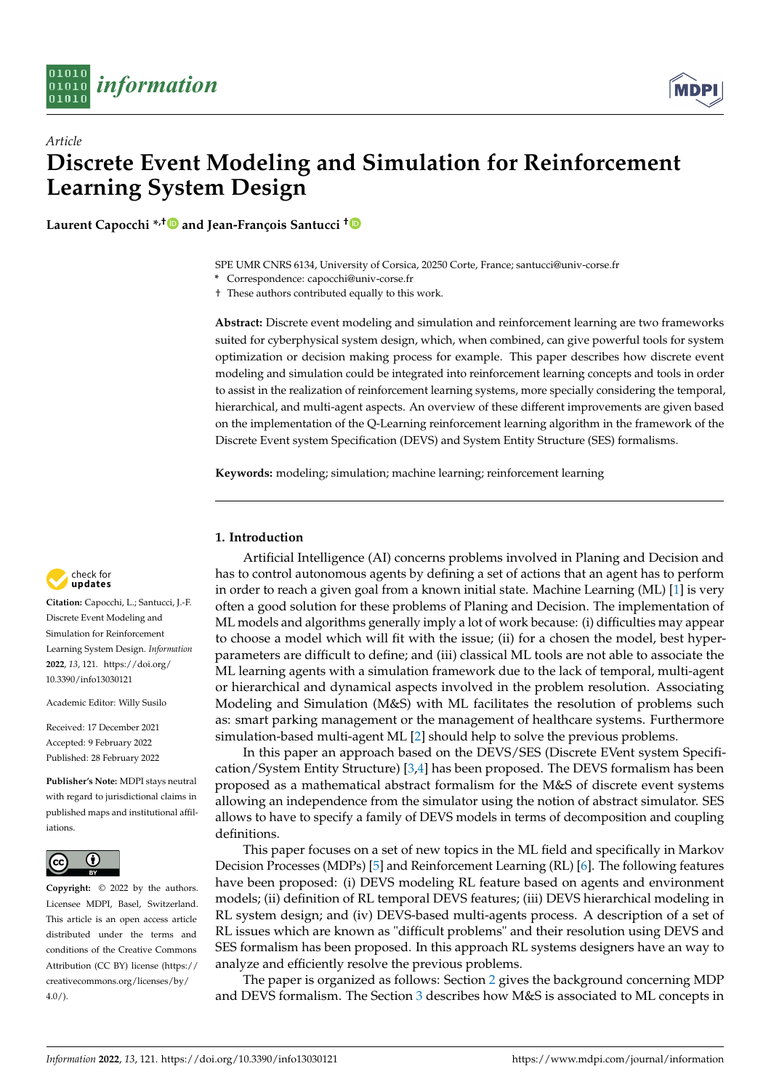



# *Article* **Discrete Event Modeling and Simulation for Reinforcement Learning System Design**

**Laurent Capocchi \*,[†](https://orcid.org/0000-0002-0793-8742) and Jean-François Santucci [†](https://orcid.org/0000-0002-9143-532X)**

SPE UMR CNRS 6134, University of Corsica, 20250 Corte, France; santucci@univ-corse.fr

**\*** Correspondence: capocchi@univ-corse.fr

† These authors contributed equally to this work.

**Abstract:** Discrete event modeling and simulation and reinforcement learning are two frameworks suited for cyberphysical system design, which, when combined, can give powerful tools for system optimization or decision making process for example. This paper describes how discrete event modeling and simulation could be integrated into reinforcement learning concepts and tools in order to assist in the realization of reinforcement learning systems, more specially considering the temporal, hierarchical, and multi-agent aspects. An overview of these different improvements are given based on the implementation of the Q-Learning reinforcement learning algorithm in the framework of the Discrete Event system Specification (DEVS) and System Entity Structure (SES) formalisms.

**Keywords:** modeling; simulation; machine learning; reinforcement learning

# **1. Introduction**

Artificial Intelligence (AI) concerns problems involved in Planing and Decision and has to control autonomous agents by defining a set of actions that an agent has to perform in order to reach a given goal from a known initial state. Machine Learning (ML) [\[1\]](#page-10-0) is very often a good solution for these problems of Planing and Decision. The implementation of ML models and algorithms generally imply a lot of work because: (i) difficulties may appear to choose a model which will fit with the issue; (ii) for a chosen the model, best hyperparameters are difficult to define; and (iii) classical ML tools are not able to associate the ML learning agents with a simulation framework due to the lack of temporal, multi-agent or hierarchical and dynamical aspects involved in the problem resolution. Associating Modeling and Simulation (M&S) with ML facilitates the resolution of problems such as: smart parking management or the management of healthcare systems. Furthermore simulation-based multi-agent ML [\[2\]](#page-10-1) should help to solve the previous problems.

In this paper an approach based on the DEVS/SES (Discrete EVent system Specification/System Entity Structure) [\[3,](#page-10-2)[4\]](#page-10-3) has been proposed. The DEVS formalism has been proposed as a mathematical abstract formalism for the M&S of discrete event systems allowing an independence from the simulator using the notion of abstract simulator. SES allows to have to specify a family of DEVS models in terms of decomposition and coupling definitions.

This paper focuses on a set of new topics in the ML field and specifically in Markov Decision Processes (MDPs) [\[5\]](#page-10-4) and Reinforcement Learning (RL) [\[6\]](#page-10-5). The following features have been proposed: (i) DEVS modeling RL feature based on agents and environment models; (ii) definition of RL temporal DEVS features; (iii) DEVS hierarchical modeling in RL system design; and (iv) DEVS-based multi-agents process. A description of a set of RL issues which are known as "difficult problems" and their resolution using DEVS and SES formalism has been proposed. In this approach RL systems designers have an way to analyze and efficiently resolve the previous problems.

The paper is organized as follows: Section [2](#page-1-0) gives the background concerning MDP and DEVS formalism. The Section [3](#page-2-0) describes how M&S is associated to ML concepts in



**Citation:** Capocchi, L.; Santucci, J.-F. Discrete Event Modeling and Simulation for Reinforcement Learning System Design. *Information* **2022**, *13*, 121. [https://doi.org/](https://doi.org/10.3390/info13030121) [10.3390/info13030121](https://doi.org/10.3390/info13030121)

Academic Editor: Willy Susilo

Received: 17 December 2021 Accepted: 9 February 2022 Published: 28 February 2022

**Publisher's Note:** MDPI stays neutral with regard to jurisdictional claims in published maps and institutional affiliations.



**Copyright:** © 2022 by the authors. Licensee MDPI, Basel, Switzerland. This article is an open access article distributed under the terms and conditions of the Creative Commons Attribution (CC BY) license [\(https://](https://creativecommons.org/licenses/by/4.0/) [creativecommons.org/licenses/by/](https://creativecommons.org/licenses/by/4.0/)  $4.0/$ ).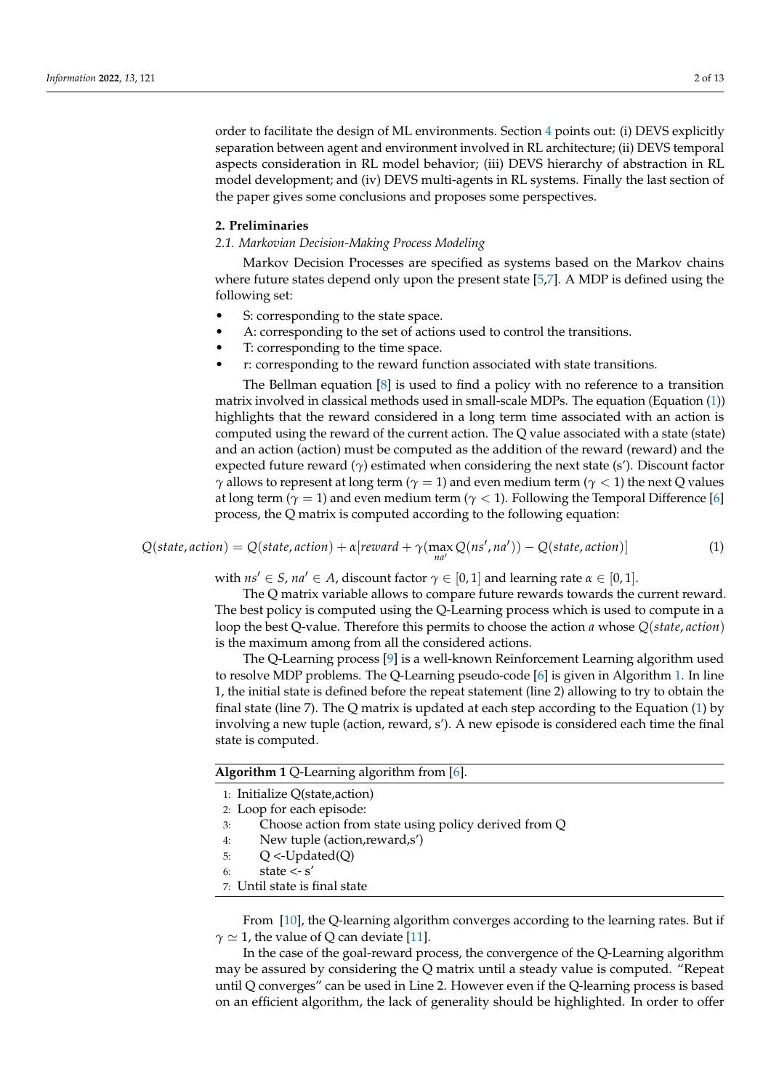order to facilitate the design of ML environments. Section [4](#page-3-0) points out: (i) DEVS explicitly separation between agent and environment involved in RL architecture; (ii) DEVS temporal aspects consideration in RL model behavior; (iii) DEVS hierarchy of abstraction in RL model development; and (iv) DEVS multi-agents in RL systems. Finally the last section of the paper gives some conclusions and proposes some perspectives.

#### <span id="page-1-0"></span>**2. Preliminaries**

#### *2.1. Markovian Decision-Making Process Modeling*

Markov Decision Processes are specified as systems based on the Markov chains where future states depend only upon the present state [\[5,](#page-10-4)[7\]](#page-10-6). A MDP is defined using the following set:

- S: corresponding to the state space.
- A: corresponding to the set of actions used to control the transitions.
- T: corresponding to the time space.
- r: corresponding to the reward function associated with state transitions.

The Bellman equation [\[8\]](#page-10-7) is used to find a policy with no reference to a transition matrix involved in classical methods used in small-scale MDPs. The equation (Equation [\(1\)](#page-1-1)) highlights that the reward considered in a long term time associated with an action is computed using the reward of the current action. The Q value associated with a state (state) and an action (action) must be computed as the addition of the reward (reward) and the expected future reward  $(\gamma)$  estimated when considering the next state (s'). Discount factor *γ* allows to represent at long term ( $\gamma = 1$ ) and even medium term ( $\gamma < 1$ ) the next Q values at long term ( $\gamma = 1$ ) and even medium term ( $\gamma < 1$ ). Following the Temporal Difference [\[6\]](#page-10-5) process, the Q matrix is computed according to the following equation:

<span id="page-1-1"></span>
$$
Q(state, action) = Q(state, action) + \alpha [reward + \gamma (max_{na'} Q(ns', na')) - Q(state, action)]
$$
\n(1)

with  $ns' \in S$ ,  $na' \in A$ , discount factor  $\gamma \in [0,1]$  and learning rate  $\alpha \in [0,1]$ .

The Q matrix variable allows to compare future rewards towards the current reward. The best policy is computed using the Q-Learning process which is used to compute in a loop the best Q-value. Therefore this permits to choose the action *a* whose *Q*(*state*, *action*) is the maximum among from all the considered actions.

The Q-Learning process [\[9\]](#page-10-8) is a well-known Reinforcement Learning algorithm used to resolve MDP problems. The Q-Learning pseudo-code [\[6\]](#page-10-5) is given in Algorithm [1.](#page-1-2) In line 1, the initial state is defined before the repeat statement (line 2) allowing to try to obtain the final state (line 7). The Q matrix is updated at each step according to the Equation [\(1\)](#page-1-1) by involving a new tuple (action, reward, s'). A new episode is considered each time the final state is computed.

<span id="page-1-2"></span>

|  | Algorithm 1 Q-Learning algorithm from [6]. |  |
|--|--------------------------------------------|--|
|--|--------------------------------------------|--|

- 1: Initialize Q(state,action)
- 2: Loop for each episode:
- 3: Choose action from state using policy derived from Q
- 4: New tuple (action,reward,s')
- 5:  $Q < U$ pdated $(Q)$
- 6: state <- s'
- 7: Until state is final state

From [\[10\]](#page-10-9), the Q-learning algorithm converges according to the learning rates. But if  $\gamma \simeq 1$ , the value of Q can deviate [\[11\]](#page-10-10).

In the case of the goal-reward process, the convergence of the Q-Learning algorithm may be assured by considering the Q matrix until a steady value is computed. "Repeat until Q converges" can be used in Line 2. However even if the Q-learning process is based on an efficient algorithm, the lack of generality should be highlighted. In order to offer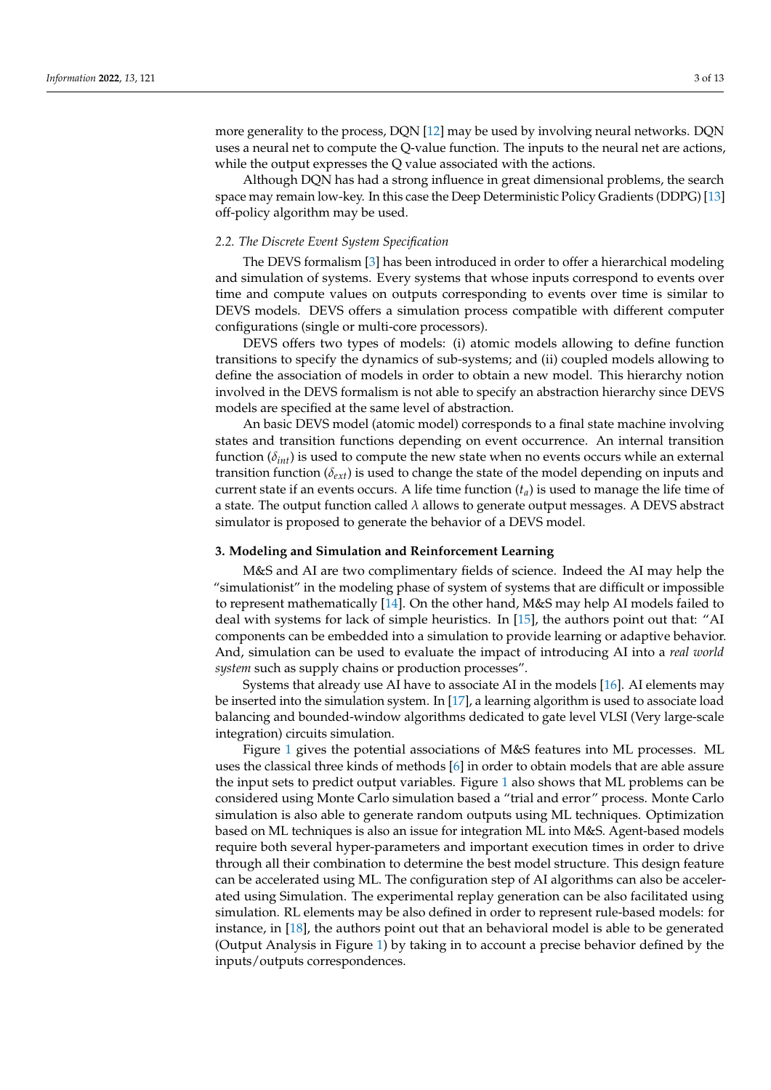more generality to the process, DQN [\[12\]](#page-11-0) may be used by involving neural networks. DQN uses a neural net to compute the Q-value function. The inputs to the neural net are actions, while the output expresses the Q value associated with the actions.

Although DQN has had a strong influence in great dimensional problems, the search space may remain low-key. In this case the Deep Deterministic Policy Gradients (DDPG) [\[13\]](#page-11-1) off-policy algorithm may be used.

### *2.2. The Discrete Event System Specification*

The DEVS formalism [\[3\]](#page-10-2) has been introduced in order to offer a hierarchical modeling and simulation of systems. Every systems that whose inputs correspond to events over time and compute values on outputs corresponding to events over time is similar to DEVS models. DEVS offers a simulation process compatible with different computer configurations (single or multi-core processors).

DEVS offers two types of models: (i) atomic models allowing to define function transitions to specify the dynamics of sub-systems; and (ii) coupled models allowing to define the association of models in order to obtain a new model. This hierarchy notion involved in the DEVS formalism is not able to specify an abstraction hierarchy since DEVS models are specified at the same level of abstraction.

An basic DEVS model (atomic model) corresponds to a final state machine involving states and transition functions depending on event occurrence. An internal transition function  $(\delta_{int})$  is used to compute the new state when no events occurs while an external transition function ( $\delta_{ext}$ ) is used to change the state of the model depending on inputs and current state if an events occurs. A life time function  $(t<sub>a</sub>)$  is used to manage the life time of a state. The output function called *λ* allows to generate output messages. A DEVS abstract simulator is proposed to generate the behavior of a DEVS model.

## <span id="page-2-0"></span>**3. Modeling and Simulation and Reinforcement Learning**

M&S and AI are two complimentary fields of science. Indeed the AI may help the "simulationist" in the modeling phase of system of systems that are difficult or impossible to represent mathematically [\[14\]](#page-11-2). On the other hand, M&S may help AI models failed to deal with systems for lack of simple heuristics. In [\[15\]](#page-11-3), the authors point out that: "AI components can be embedded into a simulation to provide learning or adaptive behavior. And, simulation can be used to evaluate the impact of introducing AI into a *real world system* such as supply chains or production processes".

Systems that already use AI have to associate AI in the models [\[16\]](#page-11-4). AI elements may be inserted into the simulation system. In [\[17\]](#page-11-5), a learning algorithm is used to associate load balancing and bounded-window algorithms dedicated to gate level VLSI (Very large-scale integration) circuits simulation.

Figure [1](#page-3-1) gives the potential associations of M&S features into ML processes. ML uses the classical three kinds of methods [\[6\]](#page-10-5) in order to obtain models that are able assure the input sets to predict output variables. Figure [1](#page-3-1) also shows that ML problems can be considered using Monte Carlo simulation based a "trial and error" process. Monte Carlo simulation is also able to generate random outputs using ML techniques. Optimization based on ML techniques is also an issue for integration ML into M&S. Agent-based models require both several hyper-parameters and important execution times in order to drive through all their combination to determine the best model structure. This design feature can be accelerated using ML. The configuration step of AI algorithms can also be accelerated using Simulation. The experimental replay generation can be also facilitated using simulation. RL elements may be also defined in order to represent rule-based models: for instance, in [\[18\]](#page-11-6), the authors point out that an behavioral model is able to be generated (Output Analysis in Figure [1\)](#page-3-1) by taking in to account a precise behavior defined by the inputs/outputs correspondences.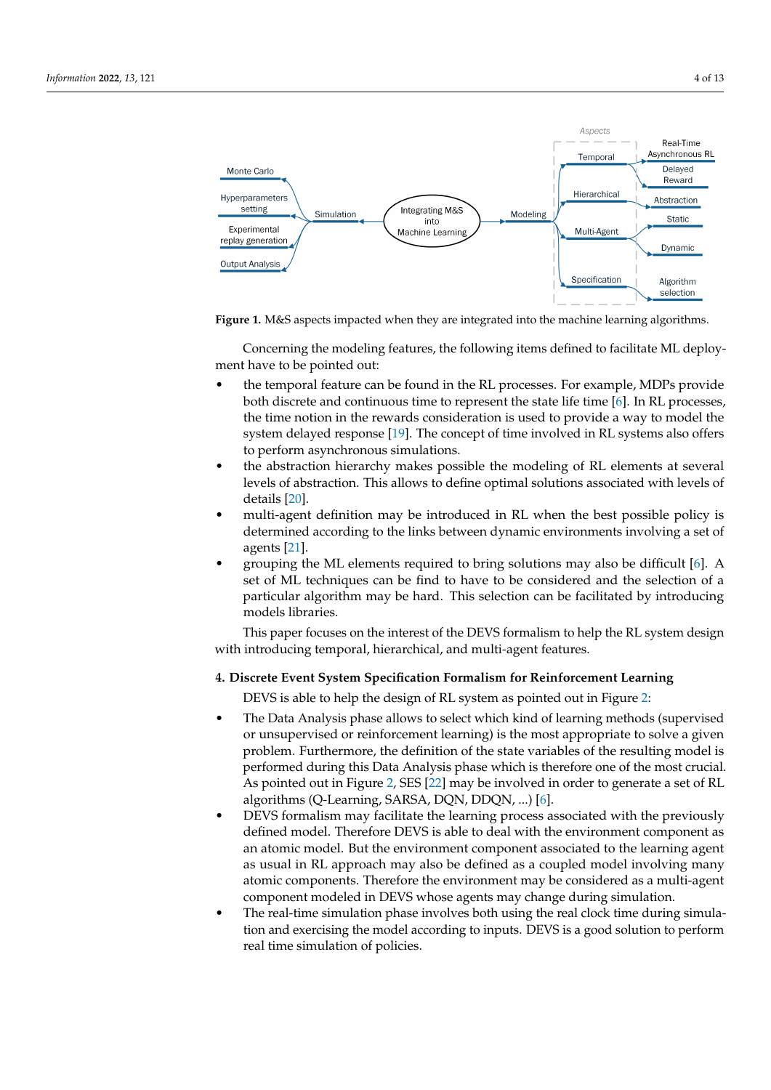<span id="page-3-1"></span>

**Figure 1.** M&S aspects impacted when they are integrated into the machine learning algorithms.

Concerning the modeling features, the following items defined to facilitate ML deployment have to be pointed out:

- the temporal feature can be found in the RL processes. For example, MDPs provide both discrete and continuous time to represent the state life time [\[6\]](#page-10-5). In RL processes, the time notion in the rewards consideration is used to provide a way to model the system delayed response [\[19\]](#page-11-7). The concept of time involved in RL systems also offers to perform asynchronous simulations.
- the abstraction hierarchy makes possible the modeling of RL elements at several levels of abstraction. This allows to define optimal solutions associated with levels of details [\[20\]](#page-11-8).
- multi-agent definition may be introduced in RL when the best possible policy is determined according to the links between dynamic environments involving a set of agents [\[21\]](#page-11-9).
- grouping the ML elements required to bring solutions may also be difficult [\[6\]](#page-10-5). A set of ML techniques can be find to have to be considered and the selection of a particular algorithm may be hard. This selection can be facilitated by introducing models libraries.

This paper focuses on the interest of the DEVS formalism to help the RL system design with introducing temporal, hierarchical, and multi-agent features.

# <span id="page-3-0"></span>**4. Discrete Event System Specification Formalism for Reinforcement Learning**

DEVS is able to help the design of RL system as pointed out in Figure [2:](#page-4-0)

- The Data Analysis phase allows to select which kind of learning methods (supervised or unsupervised or reinforcement learning) is the most appropriate to solve a given problem. Furthermore, the definition of the state variables of the resulting model is performed during this Data Analysis phase which is therefore one of the most crucial. As pointed out in Figure [2,](#page-4-0) SES [\[22\]](#page-11-10) may be involved in order to generate a set of RL algorithms (Q-Learning, SARSA, DQN, DDQN, ...) [\[6\]](#page-10-5).
- DEVS formalism may facilitate the learning process associated with the previously defined model. Therefore DEVS is able to deal with the environment component as an atomic model. But the environment component associated to the learning agent as usual in RL approach may also be defined as a coupled model involving many atomic components. Therefore the environment may be considered as a multi-agent component modeled in DEVS whose agents may change during simulation.
- The real-time simulation phase involves both using the real clock time during simulation and exercising the model according to inputs. DEVS is a good solution to perform real time simulation of policies.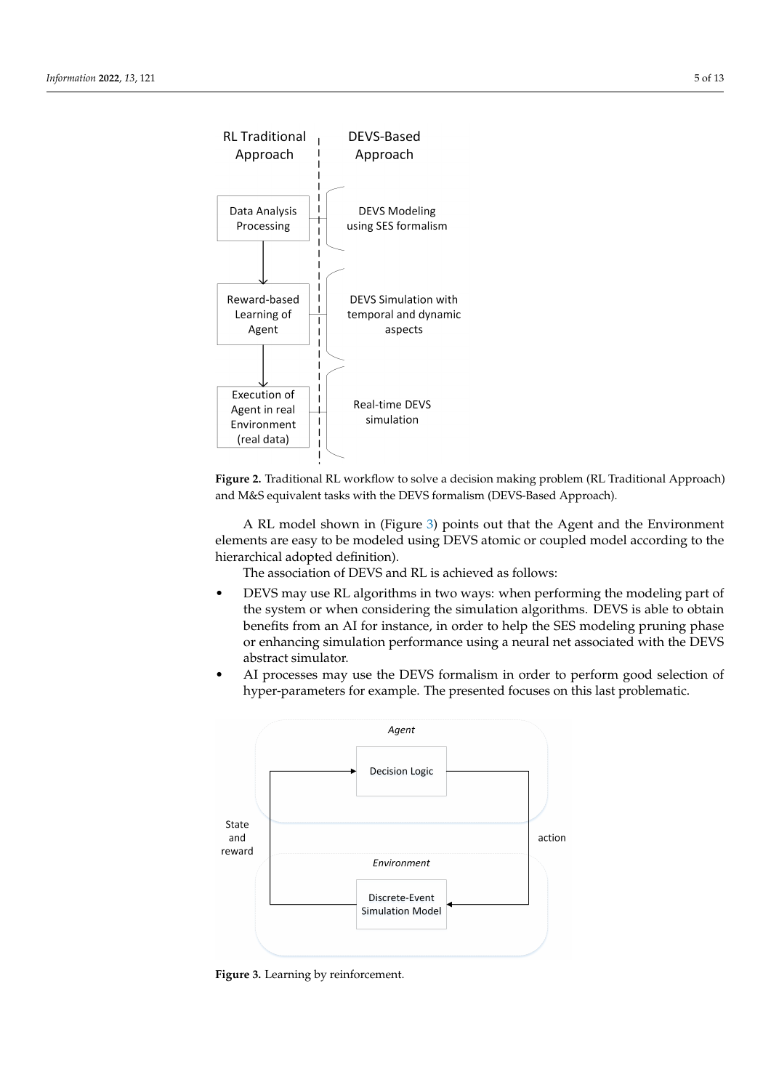<span id="page-4-0"></span>

**Figure 2.** Traditional RL workflow to solve a decision making problem (RL Traditional Approach) and M&S equivalent tasks with the DEVS formalism (DEVS-Based Approach).

A RL model shown in (Figure [3\)](#page-4-1) points out that the Agent and the Environment elements are easy to be modeled using DEVS atomic or coupled model according to the hierarchical adopted definition).

The association of DEVS and RL is achieved as follows:

- DEVS may use RL algorithms in two ways: when performing the modeling part of the system or when considering the simulation algorithms. DEVS is able to obtain benefits from an AI for instance, in order to help the SES modeling pruning phase or enhancing simulation performance using a neural net associated with the DEVS abstract simulator.
- AI processes may use the DEVS formalism in order to perform good selection of hyper-parameters for example. The presented focuses on this last problematic.

<span id="page-4-1"></span>

**Figure 3.** Learning by reinforcement.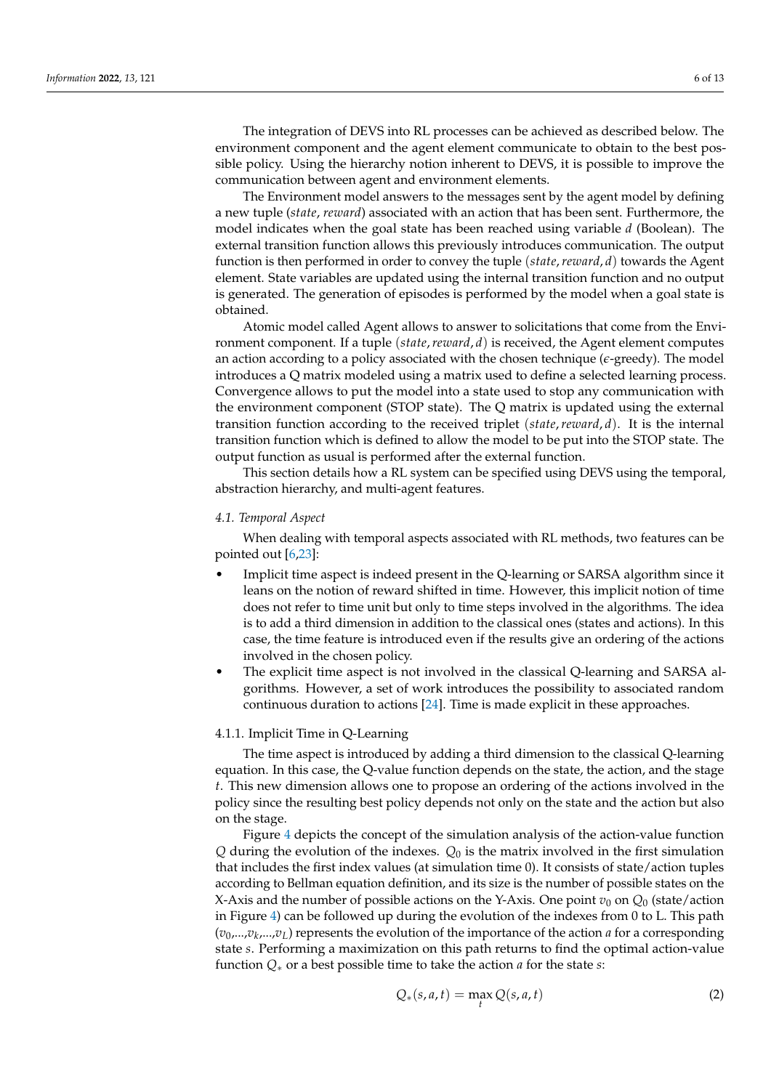The integration of DEVS into RL processes can be achieved as described below. The environment component and the agent element communicate to obtain to the best possible policy. Using the hierarchy notion inherent to DEVS, it is possible to improve the communication between agent and environment elements.

The Environment model answers to the messages sent by the agent model by defining a new tuple (*state*, *reward*) associated with an action that has been sent. Furthermore, the model indicates when the goal state has been reached using variable *d* (Boolean). The external transition function allows this previously introduces communication. The output function is then performed in order to convey the tuple (*state*,*reward*, *d*) towards the Agent element. State variables are updated using the internal transition function and no output is generated. The generation of episodes is performed by the model when a goal state is obtained.

Atomic model called Agent allows to answer to solicitations that come from the Environment component. If a tuple (*state*,*reward*, *d*) is received, the Agent element computes an action according to a policy associated with the chosen technique (*e*-greedy). The model introduces a Q matrix modeled using a matrix used to define a selected learning process. Convergence allows to put the model into a state used to stop any communication with the environment component (STOP state). The Q matrix is updated using the external transition function according to the received triplet (*state*,*reward*, *d*). It is the internal transition function which is defined to allow the model to be put into the STOP state. The output function as usual is performed after the external function.

This section details how a RL system can be specified using DEVS using the temporal, abstraction hierarchy, and multi-agent features.

## *4.1. Temporal Aspect*

When dealing with temporal aspects associated with RL methods, two features can be pointed out [\[6](#page-10-5)[,23\]](#page-11-11):

- Implicit time aspect is indeed present in the Q-learning or SARSA algorithm since it leans on the notion of reward shifted in time. However, this implicit notion of time does not refer to time unit but only to time steps involved in the algorithms. The idea is to add a third dimension in addition to the classical ones (states and actions). In this case, the time feature is introduced even if the results give an ordering of the actions involved in the chosen policy.
- The explicit time aspect is not involved in the classical Q-learning and SARSA algorithms. However, a set of work introduces the possibility to associated random continuous duration to actions [\[24\]](#page-11-12). Time is made explicit in these approaches.

## 4.1.1. Implicit Time in Q-Learning

The time aspect is introduced by adding a third dimension to the classical Q-learning equation. In this case, the Q-value function depends on the state, the action, and the stage *t*. This new dimension allows one to propose an ordering of the actions involved in the policy since the resulting best policy depends not only on the state and the action but also on the stage.

Figure [4](#page-6-0) depicts the concept of the simulation analysis of the action-value function *Q* during the evolution of the indexes. *Q*<sup>0</sup> is the matrix involved in the first simulation that includes the first index values (at simulation time 0). It consists of state/action tuples according to Bellman equation definition, and its size is the number of possible states on the X-Axis and the number of possible actions on the Y-Axis. One point  $v_0$  on  $Q_0$  (state/action in Figure [4\)](#page-6-0) can be followed up during the evolution of the indexes from 0 to L. This path (*v*0,...,*v<sup>k</sup>* ,...,*vL*) represents the evolution of the importance of the action *a* for a corresponding state *s*. Performing a maximization on this path returns to find the optimal action-value function *Q*∗ or a best possible time to take the action *a* for the state *s*:

<span id="page-5-0"></span>
$$
Q_*(s, a, t) = \max_t Q(s, a, t)
$$
 (2)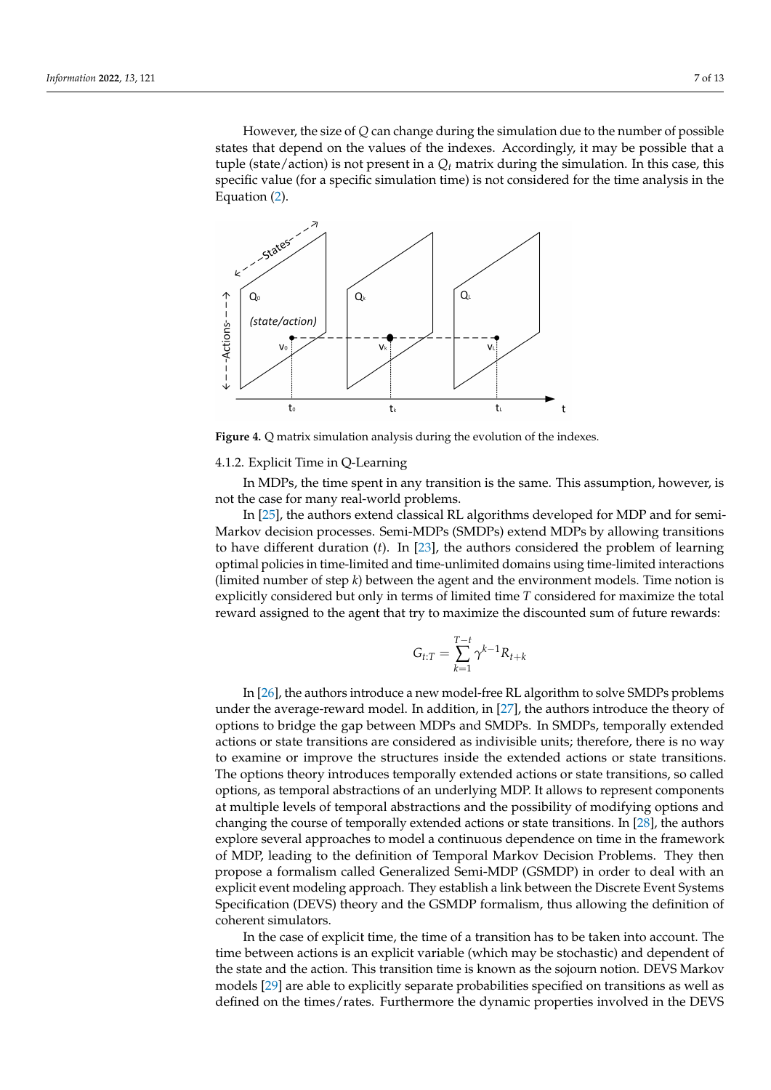However, the size of *Q* can change during the simulation due to the number of possible states that depend on the values of the indexes. Accordingly, it may be possible that a tuple (state/action) is not present in a  $Q_t$  matrix during the simulation. In this case, this specific value (for a specific simulation time) is not considered for the time analysis in the Equation [\(2\)](#page-5-0).

<span id="page-6-0"></span>

**Figure 4.** Q matrix simulation analysis during the evolution of the indexes.

## 4.1.2. Explicit Time in Q-Learning

In MDPs, the time spent in any transition is the same. This assumption, however, is not the case for many real-world problems.

In [\[25\]](#page-11-13), the authors extend classical RL algorithms developed for MDP and for semi-Markov decision processes. Semi-MDPs (SMDPs) extend MDPs by allowing transitions to have different duration (*t*). In [\[23\]](#page-11-11), the authors considered the problem of learning optimal policies in time-limited and time-unlimited domains using time-limited interactions (limited number of step *k*) between the agent and the environment models. Time notion is explicitly considered but only in terms of limited time *T* considered for maximize the total reward assigned to the agent that try to maximize the discounted sum of future rewards:

$$
G_{t:T} = \sum_{k=1}^{T-t} \gamma^{k-1} R_{t+k}
$$

In [\[26\]](#page-11-14), the authors introduce a new model-free RL algorithm to solve SMDPs problems under the average-reward model. In addition, in [\[27\]](#page-11-15), the authors introduce the theory of options to bridge the gap between MDPs and SMDPs. In SMDPs, temporally extended actions or state transitions are considered as indivisible units; therefore, there is no way to examine or improve the structures inside the extended actions or state transitions. The options theory introduces temporally extended actions or state transitions, so called options, as temporal abstractions of an underlying MDP. It allows to represent components at multiple levels of temporal abstractions and the possibility of modifying options and changing the course of temporally extended actions or state transitions. In [\[28\]](#page-11-16), the authors explore several approaches to model a continuous dependence on time in the framework of MDP, leading to the definition of Temporal Markov Decision Problems. They then propose a formalism called Generalized Semi-MDP (GSMDP) in order to deal with an explicit event modeling approach. They establish a link between the Discrete Event Systems Specification (DEVS) theory and the GSMDP formalism, thus allowing the definition of coherent simulators.

In the case of explicit time, the time of a transition has to be taken into account. The time between actions is an explicit variable (which may be stochastic) and dependent of the state and the action. This transition time is known as the sojourn notion. DEVS Markov models [\[29\]](#page-11-17) are able to explicitly separate probabilities specified on transitions as well as defined on the times/rates. Furthermore the dynamic properties involved in the DEVS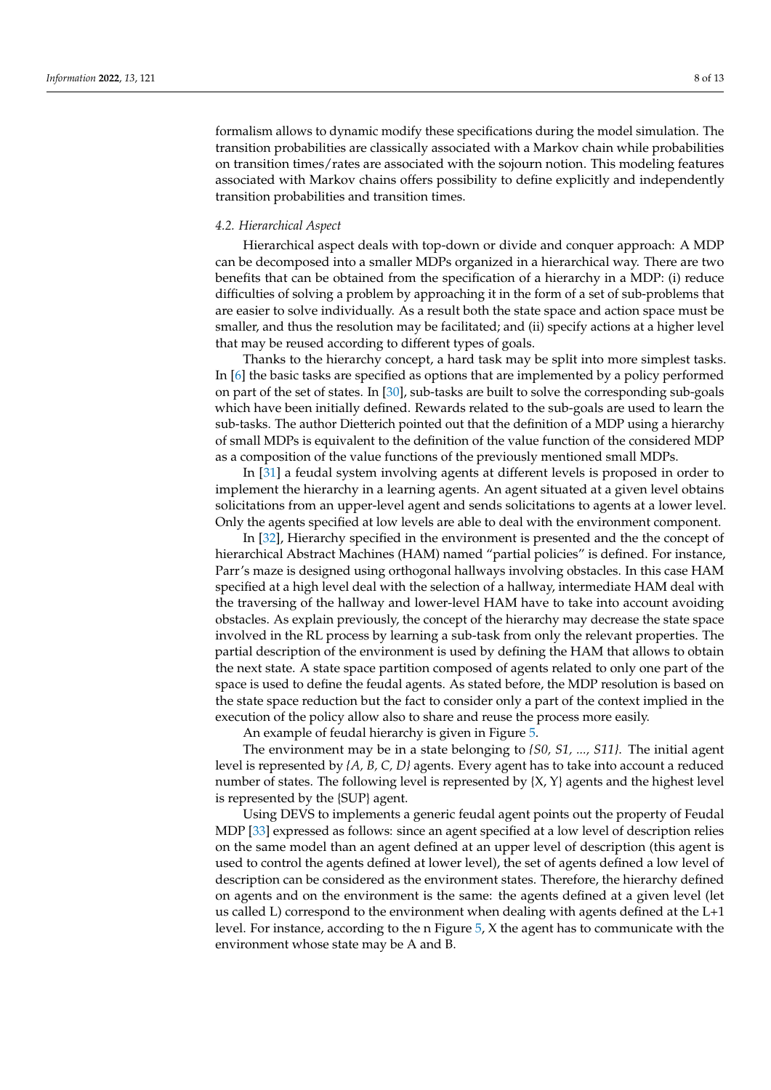formalism allows to dynamic modify these specifications during the model simulation. The transition probabilities are classically associated with a Markov chain while probabilities on transition times/rates are associated with the sojourn notion. This modeling features associated with Markov chains offers possibility to define explicitly and independently transition probabilities and transition times.

## *4.2. Hierarchical Aspect*

Hierarchical aspect deals with top-down or divide and conquer approach: A MDP can be decomposed into a smaller MDPs organized in a hierarchical way. There are two benefits that can be obtained from the specification of a hierarchy in a MDP: (i) reduce difficulties of solving a problem by approaching it in the form of a set of sub-problems that are easier to solve individually. As a result both the state space and action space must be smaller, and thus the resolution may be facilitated; and (ii) specify actions at a higher level that may be reused according to different types of goals.

Thanks to the hierarchy concept, a hard task may be split into more simplest tasks. In [\[6\]](#page-10-5) the basic tasks are specified as options that are implemented by a policy performed on part of the set of states. In [\[30\]](#page-11-18), sub-tasks are built to solve the corresponding sub-goals which have been initially defined. Rewards related to the sub-goals are used to learn the sub-tasks. The author Dietterich pointed out that the definition of a MDP using a hierarchy of small MDPs is equivalent to the definition of the value function of the considered MDP as a composition of the value functions of the previously mentioned small MDPs.

In [\[31\]](#page-11-19) a feudal system involving agents at different levels is proposed in order to implement the hierarchy in a learning agents. An agent situated at a given level obtains solicitations from an upper-level agent and sends solicitations to agents at a lower level. Only the agents specified at low levels are able to deal with the environment component.

In [\[32\]](#page-11-20), Hierarchy specified in the environment is presented and the the concept of hierarchical Abstract Machines (HAM) named "partial policies" is defined. For instance, Parr's maze is designed using orthogonal hallways involving obstacles. In this case HAM specified at a high level deal with the selection of a hallway, intermediate HAM deal with the traversing of the hallway and lower-level HAM have to take into account avoiding obstacles. As explain previously, the concept of the hierarchy may decrease the state space involved in the RL process by learning a sub-task from only the relevant properties. The partial description of the environment is used by defining the HAM that allows to obtain the next state. A state space partition composed of agents related to only one part of the space is used to define the feudal agents. As stated before, the MDP resolution is based on the state space reduction but the fact to consider only a part of the context implied in the execution of the policy allow also to share and reuse the process more easily.

An example of feudal hierarchy is given in Figure [5.](#page-8-0)

The environment may be in a state belonging to *{S0, S1, ..., S11}*. The initial agent level is represented by *{A, B, C, D}* agents. Every agent has to take into account a reduced number of states. The following level is represented by {X, Y} agents and the highest level is represented by the {SUP} agent.

Using DEVS to implements a generic feudal agent points out the property of Feudal MDP [\[33\]](#page-11-21) expressed as follows: since an agent specified at a low level of description relies on the same model than an agent defined at an upper level of description (this agent is used to control the agents defined at lower level), the set of agents defined a low level of description can be considered as the environment states. Therefore, the hierarchy defined on agents and on the environment is the same: the agents defined at a given level (let us called L) correspond to the environment when dealing with agents defined at the L+1 level. For instance, according to the n Figure [5,](#page-8-0) X the agent has to communicate with the environment whose state may be A and B.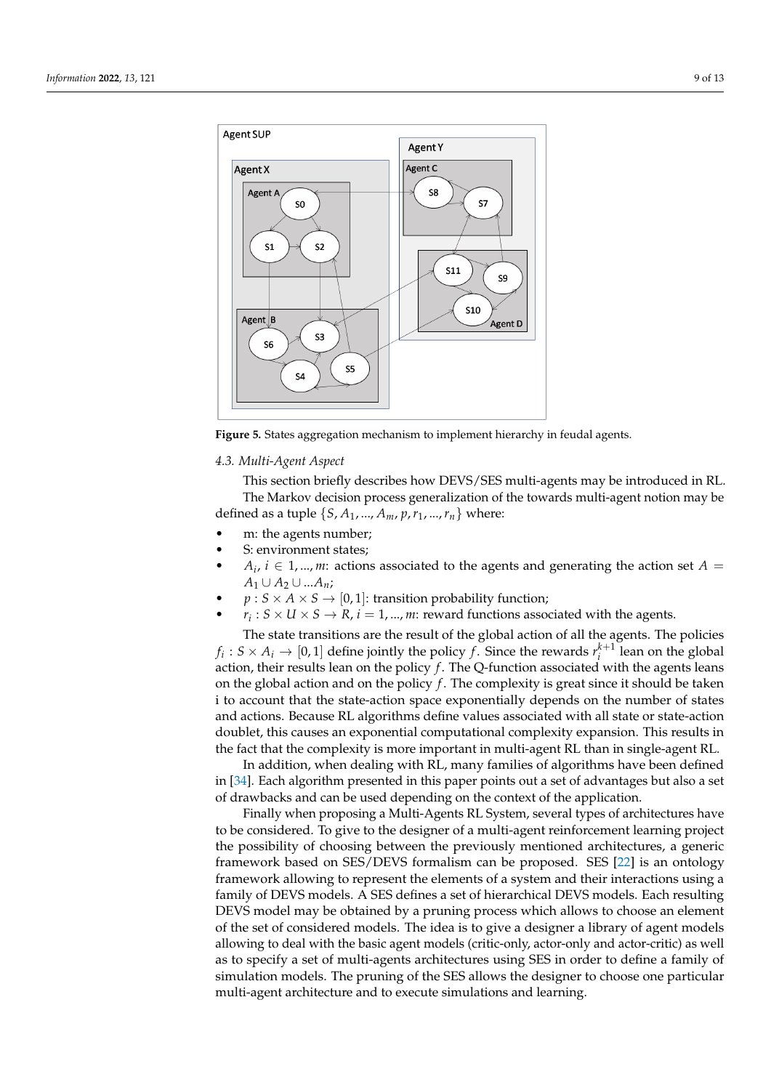<span id="page-8-0"></span>

**Figure 5.** States aggregation mechanism to implement hierarchy in feudal agents.

## *4.3. Multi-Agent Aspect*

This section briefly describes how DEVS/SES multi-agents may be introduced in RL. The Markov decision process generalization of the towards multi-agent notion may be defined as a tuple  $\{S, A_1, ..., A_m, p, r_1, ..., r_n\}$  where:

- m: the agents number;
- S: environment states;
- *A*<sub>*i*</sub>, *i*  $\in$  1, ..., *m*: actions associated to the agents and generating the action set *A* =  $A_1$  ∪  $A_2$  ∪ ... $A_n$ ;
- $p : S \times A \times S \rightarrow [0, 1]$ : transition probability function;
- $r_i$ :  $S \times U \times S \rightarrow R$ ,  $i = 1, ..., m$ : reward functions associated with the agents.

The state transitions are the result of the global action of all the agents. The policies  $f_i: S \times A_i \rightarrow [0, 1]$  define jointly the policy *f*. Since the rewards  $r_i^{k+1}$  lean on the global action, their results lean on the policy *f*. The Q-function associated with the agents leans on the global action and on the policy *f* . The complexity is great since it should be taken i to account that the state-action space exponentially depends on the number of states and actions. Because RL algorithms define values associated with all state or state-action doublet, this causes an exponential computational complexity expansion. This results in the fact that the complexity is more important in multi-agent RL than in single-agent RL.

In addition, when dealing with RL, many families of algorithms have been defined in [\[34\]](#page-11-22). Each algorithm presented in this paper points out a set of advantages but also a set of drawbacks and can be used depending on the context of the application.

Finally when proposing a Multi-Agents RL System, several types of architectures have to be considered. To give to the designer of a multi-agent reinforcement learning project the possibility of choosing between the previously mentioned architectures, a generic framework based on SES/DEVS formalism can be proposed. SES [\[22\]](#page-11-10) is an ontology framework allowing to represent the elements of a system and their interactions using a family of DEVS models. A SES defines a set of hierarchical DEVS models. Each resulting DEVS model may be obtained by a pruning process which allows to choose an element of the set of considered models. The idea is to give a designer a library of agent models allowing to deal with the basic agent models (critic-only, actor-only and actor-critic) as well as to specify a set of multi-agents architectures using SES in order to define a family of simulation models. The pruning of the SES allows the designer to choose one particular multi-agent architecture and to execute simulations and learning.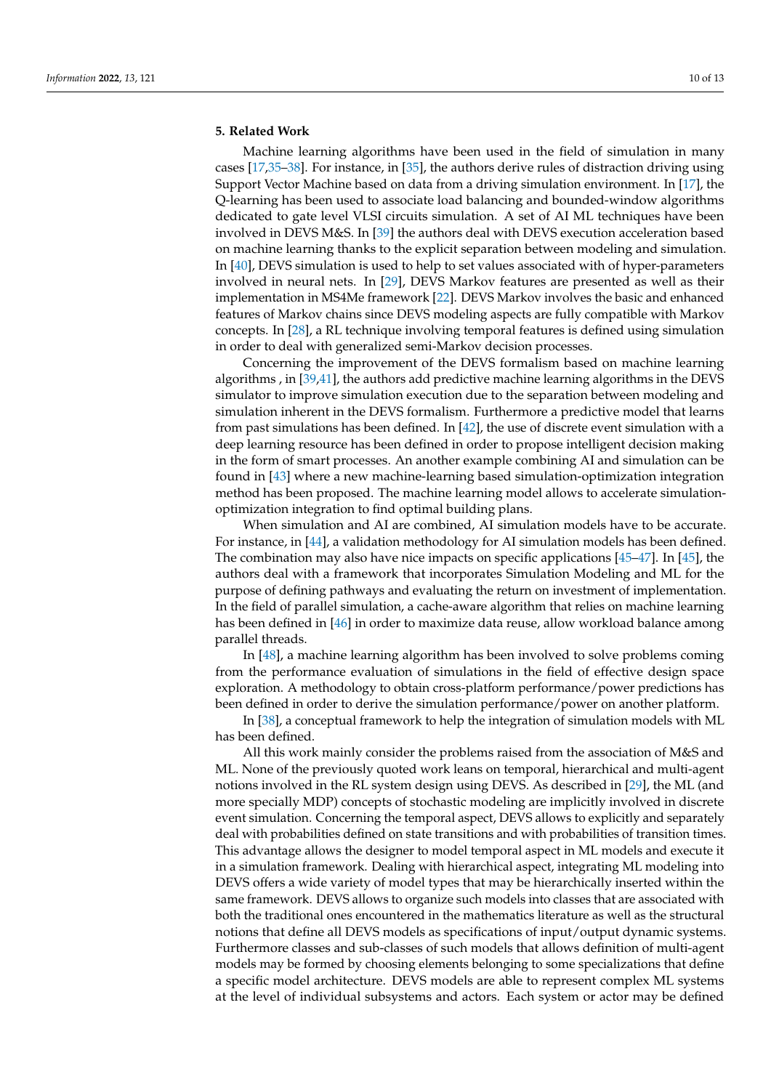# **5. Related Work**

Machine learning algorithms have been used in the field of simulation in many cases [\[17,](#page-11-5)[35](#page-11-23)[–38\]](#page-12-0). For instance, in [\[35\]](#page-11-23), the authors derive rules of distraction driving using Support Vector Machine based on data from a driving simulation environment. In [\[17\]](#page-11-5), the Q-learning has been used to associate load balancing and bounded-window algorithms dedicated to gate level VLSI circuits simulation. A set of AI ML techniques have been involved in DEVS M&S. In [\[39\]](#page-12-1) the authors deal with DEVS execution acceleration based on machine learning thanks to the explicit separation between modeling and simulation. In [\[40\]](#page-12-2), DEVS simulation is used to help to set values associated with of hyper-parameters involved in neural nets. In [\[29\]](#page-11-17), DEVS Markov features are presented as well as their implementation in MS4Me framework [\[22\]](#page-11-10). DEVS Markov involves the basic and enhanced features of Markov chains since DEVS modeling aspects are fully compatible with Markov concepts. In [\[28\]](#page-11-16), a RL technique involving temporal features is defined using simulation in order to deal with generalized semi-Markov decision processes.

Concerning the improvement of the DEVS formalism based on machine learning algorithms , in [\[39,](#page-12-1)[41\]](#page-12-3), the authors add predictive machine learning algorithms in the DEVS simulator to improve simulation execution due to the separation between modeling and simulation inherent in the DEVS formalism. Furthermore a predictive model that learns from past simulations has been defined. In [\[42\]](#page-12-4), the use of discrete event simulation with a deep learning resource has been defined in order to propose intelligent decision making in the form of smart processes. An another example combining AI and simulation can be found in [\[43\]](#page-12-5) where a new machine-learning based simulation-optimization integration method has been proposed. The machine learning model allows to accelerate simulationoptimization integration to find optimal building plans.

When simulation and AI are combined, AI simulation models have to be accurate. For instance, in [\[44\]](#page-12-6), a validation methodology for AI simulation models has been defined. The combination may also have nice impacts on specific applications [\[45–](#page-12-7)[47\]](#page-12-8). In [\[45\]](#page-12-7), the authors deal with a framework that incorporates Simulation Modeling and ML for the purpose of defining pathways and evaluating the return on investment of implementation. In the field of parallel simulation, a cache-aware algorithm that relies on machine learning has been defined in [\[46\]](#page-12-9) in order to maximize data reuse, allow workload balance among parallel threads.

In [\[48\]](#page-12-10), a machine learning algorithm has been involved to solve problems coming from the performance evaluation of simulations in the field of effective design space exploration. A methodology to obtain cross-platform performance/power predictions has been defined in order to derive the simulation performance/power on another platform.

In [\[38\]](#page-12-0), a conceptual framework to help the integration of simulation models with ML has been defined.

All this work mainly consider the problems raised from the association of M&S and ML. None of the previously quoted work leans on temporal, hierarchical and multi-agent notions involved in the RL system design using DEVS. As described in [\[29\]](#page-11-17), the ML (and more specially MDP) concepts of stochastic modeling are implicitly involved in discrete event simulation. Concerning the temporal aspect, DEVS allows to explicitly and separately deal with probabilities defined on state transitions and with probabilities of transition times. This advantage allows the designer to model temporal aspect in ML models and execute it in a simulation framework. Dealing with hierarchical aspect, integrating ML modeling into DEVS offers a wide variety of model types that may be hierarchically inserted within the same framework. DEVS allows to organize such models into classes that are associated with both the traditional ones encountered in the mathematics literature as well as the structural notions that define all DEVS models as specifications of input/output dynamic systems. Furthermore classes and sub-classes of such models that allows definition of multi-agent models may be formed by choosing elements belonging to some specializations that define a specific model architecture. DEVS models are able to represent complex ML systems at the level of individual subsystems and actors. Each system or actor may be defined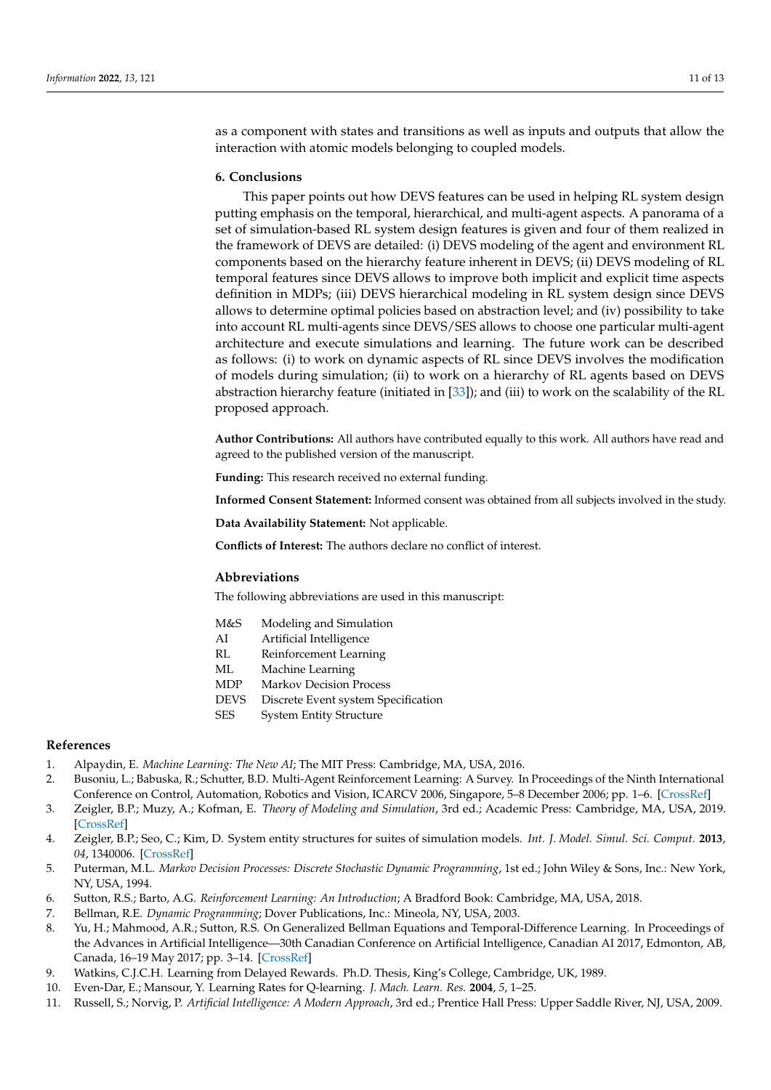as a component with states and transitions as well as inputs and outputs that allow the interaction with atomic models belonging to coupled models.

#### **6. Conclusions**

This paper points out how DEVS features can be used in helping RL system design putting emphasis on the temporal, hierarchical, and multi-agent aspects. A panorama of a set of simulation-based RL system design features is given and four of them realized in the framework of DEVS are detailed: (i) DEVS modeling of the agent and environment RL components based on the hierarchy feature inherent in DEVS; (ii) DEVS modeling of RL temporal features since DEVS allows to improve both implicit and explicit time aspects definition in MDPs; (iii) DEVS hierarchical modeling in RL system design since DEVS allows to determine optimal policies based on abstraction level; and (iv) possibility to take into account RL multi-agents since DEVS/SES allows to choose one particular multi-agent architecture and execute simulations and learning. The future work can be described as follows: (i) to work on dynamic aspects of RL since DEVS involves the modification of models during simulation; (ii) to work on a hierarchy of RL agents based on DEVS abstraction hierarchy feature (initiated in [\[33\]](#page-11-21)); and (iii) to work on the scalability of the RL proposed approach.

**Author Contributions:** All authors have contributed equally to this work. All authors have read and agreed to the published version of the manuscript.

**Funding:** This research received no external funding.

**Informed Consent Statement:** Informed consent was obtained from all subjects involved in the study.

**Data Availability Statement:** Not applicable.

**Conflicts of Interest:** The authors declare no conflict of interest.

## **Abbreviations**

The following abbreviations are used in this manuscript:

- M&S Modeling and Simulation
- AI Artificial Intelligence
- RL Reinforcement Learning
- ML Machine Learning
- MDP Markov Decision Process
- DEVS Discrete Event system Specification
- SES System Entity Structure

# **References**

- <span id="page-10-0"></span>1. Alpaydin, E. *Machine Learning: The New AI*; The MIT Press: Cambridge, MA, USA, 2016.
- <span id="page-10-1"></span>2. Busoniu, L.; Babuska, R.; Schutter, B.D. Multi-Agent Reinforcement Learning: A Survey. In Proceedings of the Ninth International Conference on Control, Automation, Robotics and Vision, ICARCV 2006, Singapore, 5–8 December 2006; pp. 1–6. [\[CrossRef\]](http://doi.org/10.1109/ICARCV.2006.345353)
- <span id="page-10-2"></span>3. Zeigler, B.P.; Muzy, A.; Kofman, E. *Theory of Modeling and Simulation*, 3rd ed.; Academic Press: Cambridge, MA, USA, 2019. [\[CrossRef\]](http://dx.doi.org/10.1016/B978-0-12-813370-5.00003-1)
- <span id="page-10-3"></span>4. Zeigler, B.P.; Seo, C.; Kim, D. System entity structures for suites of simulation models. *Int. J. Model. Simul. Sci. Comput.* **2013**, *04*, 1340006. [\[CrossRef\]](http://dx.doi.org/10.1142/S1793962313400060)
- <span id="page-10-4"></span>5. Puterman, M.L. *Markov Decision Processes: Discrete Stochastic Dynamic Programming*, 1st ed.; John Wiley & Sons, Inc.: New York, NY, USA, 1994.
- <span id="page-10-5"></span>6. Sutton, R.S.; Barto, A.G. *Reinforcement Learning: An Introduction*; A Bradford Book: Cambridge, MA, USA, 2018.
- <span id="page-10-6"></span>7. Bellman, R.E. *Dynamic Programming*; Dover Publications, Inc.: Mineola, NY, USA, 2003.
- <span id="page-10-7"></span>8. Yu, H.; Mahmood, A.R.; Sutton, R.S. On Generalized Bellman Equations and Temporal-Difference Learning. In Proceedings of the Advances in Artificial Intelligence—30th Canadian Conference on Artificial Intelligence, Canadian AI 2017, Edmonton, AB, Canada, 16–19 May 2017; pp. 3–14. [\[CrossRef\]](http://dx.doi.org/10.1007/978-3-319-57351-9_1)
- <span id="page-10-8"></span>9. Watkins, C.J.C.H. Learning from Delayed Rewards. Ph.D. Thesis, King's College, Cambridge, UK, 1989.
- <span id="page-10-9"></span>10. Even-Dar, E.; Mansour, Y. Learning Rates for Q-learning. *J. Mach. Learn. Res.* **2004**, *5*, 1–25.
- <span id="page-10-10"></span>11. Russell, S.; Norvig, P. *Artificial Intelligence: A Modern Approach*, 3rd ed.; Prentice Hall Press: Upper Saddle River, NJ, USA, 2009.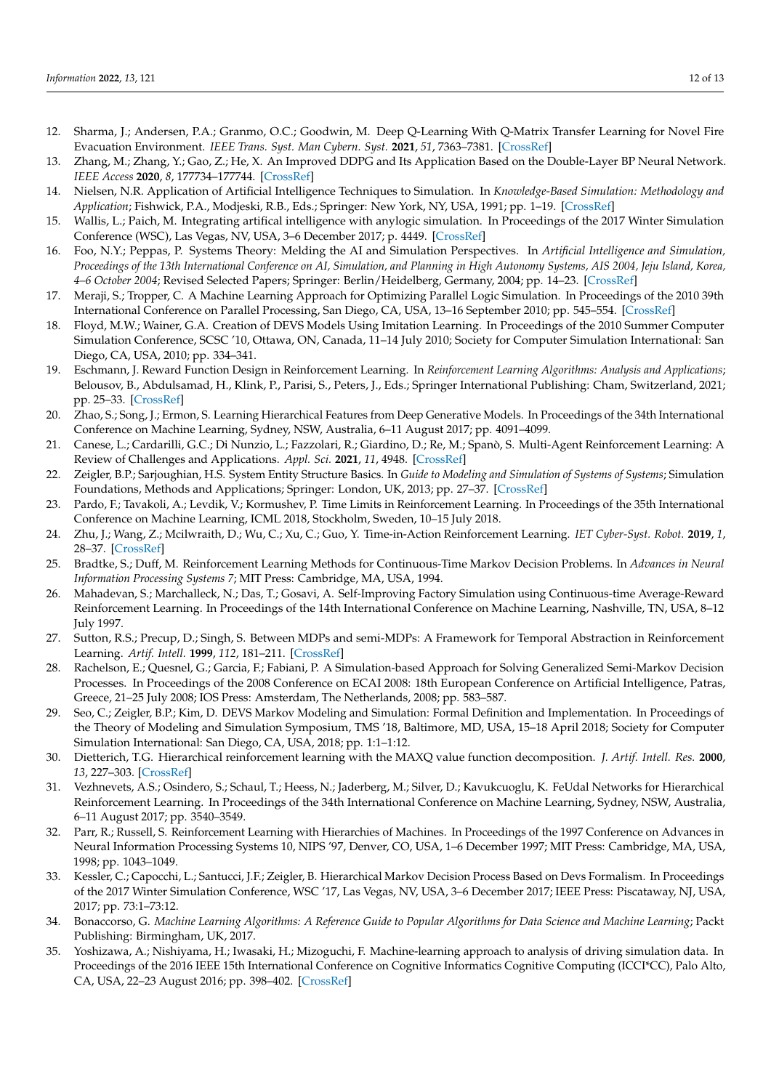- <span id="page-11-0"></span>12. Sharma, J.; Andersen, P.A.; Granmo, O.C.; Goodwin, M. Deep Q-Learning With Q-Matrix Transfer Learning for Novel Fire Evacuation Environment. *IEEE Trans. Syst. Man Cybern. Syst.* **2021**, *51*, 7363–7381. [\[CrossRef\]](http://dx.doi.org/10.1109/TSMC.2020.2967936)
- <span id="page-11-1"></span>13. Zhang, M.; Zhang, Y.; Gao, Z.; He, X. An Improved DDPG and Its Application Based on the Double-Layer BP Neural Network. *IEEE Access* **2020**, *8*, 177734–177744. [\[CrossRef\]](http://dx.doi.org/10.1109/ACCESS.2020.3020590)
- <span id="page-11-2"></span>14. Nielsen, N.R. Application of Artificial Intelligence Techniques to Simulation. In *Knowledge-Based Simulation: Methodology and Application*; Fishwick, P.A., Modjeski, R.B., Eds.; Springer: New York, NY, USA, 1991; pp. 1–19. [\[CrossRef\]](http://dx.doi.org/10.1007/978-1-4612-3040-3_1)
- <span id="page-11-3"></span>15. Wallis, L.; Paich, M. Integrating artifical intelligence with anylogic simulation. In Proceedings of the 2017 Winter Simulation Conference (WSC), Las Vegas, NV, USA, 3–6 December 2017; p. 4449. [\[CrossRef\]](http://dx.doi.org/10.1109/WSC.2017.8248156)
- <span id="page-11-4"></span>16. Foo, N.Y.; Peppas, P. Systems Theory: Melding the AI and Simulation Perspectives. In *Artificial Intelligence and Simulation, Proceedings of the 13th International Conference on AI, Simulation, and Planning in High Autonomy Systems, AIS 2004, Jeju Island, Korea, 4–6 October 2004*; Revised Selected Papers; Springer: Berlin/Heidelberg, Germany, 2004; pp. 14–23. [\[CrossRef\]](http://dx.doi.org/10.1007/978-3-540-30583-5_2)
- <span id="page-11-5"></span>17. Meraji, S.; Tropper, C. A Machine Learning Approach for Optimizing Parallel Logic Simulation. In Proceedings of the 2010 39th International Conference on Parallel Processing, San Diego, CA, USA, 13–16 September 2010; pp. 545–554. [\[CrossRef\]](http://dx.doi.org/10.1109/ICPP.2010.62)
- <span id="page-11-6"></span>18. Floyd, M.W.; Wainer, G.A. Creation of DEVS Models Using Imitation Learning. In Proceedings of the 2010 Summer Computer Simulation Conference, SCSC '10, Ottawa, ON, Canada, 11–14 July 2010; Society for Computer Simulation International: San Diego, CA, USA, 2010; pp. 334–341.
- <span id="page-11-7"></span>19. Eschmann, J. Reward Function Design in Reinforcement Learning. In *Reinforcement Learning Algorithms: Analysis and Applications*; Belousov, B., Abdulsamad, H., Klink, P., Parisi, S., Peters, J., Eds.; Springer International Publishing: Cham, Switzerland, 2021; pp. 25–33. [\[CrossRef\]](http://dx.doi.org/10.1007/978-3-030-41188-6_3)
- <span id="page-11-8"></span>20. Zhao, S.; Song, J.; Ermon, S. Learning Hierarchical Features from Deep Generative Models. In Proceedings of the 34th International Conference on Machine Learning, Sydney, NSW, Australia, 6–11 August 2017; pp. 4091–4099.
- <span id="page-11-9"></span>21. Canese, L.; Cardarilli, G.C.; Di Nunzio, L.; Fazzolari, R.; Giardino, D.; Re, M.; Spanò, S. Multi-Agent Reinforcement Learning: A Review of Challenges and Applications. *Appl. Sci.* **2021**, *11*, 4948. [\[CrossRef\]](http://dx.doi.org/10.3390/app11114948)
- <span id="page-11-10"></span>22. Zeigler, B.P.; Sarjoughian, H.S. System Entity Structure Basics. In *Guide to Modeling and Simulation of Systems of Systems*; Simulation Foundations, Methods and Applications; Springer: London, UK, 2013; pp. 27–37. [\[CrossRef\]](http://dx.doi.org/10.1007/978-0-85729-865-2_3)
- <span id="page-11-11"></span>23. Pardo, F.; Tavakoli, A.; Levdik, V.; Kormushev, P. Time Limits in Reinforcement Learning. In Proceedings of the 35th International Conference on Machine Learning, ICML 2018, Stockholm, Sweden, 10–15 July 2018.
- <span id="page-11-12"></span>24. Zhu, J.; Wang, Z.; Mcilwraith, D.; Wu, C.; Xu, C.; Guo, Y. Time-in-Action Reinforcement Learning. *IET Cyber-Syst. Robot.* **2019**, *1*, 28–37. [\[CrossRef\]](http://dx.doi.org/10.1049/iet-csr.2018.0001)
- <span id="page-11-13"></span>25. Bradtke, S.; Duff, M. Reinforcement Learning Methods for Continuous-Time Markov Decision Problems. In *Advances in Neural Information Processing Systems 7*; MIT Press: Cambridge, MA, USA, 1994.
- <span id="page-11-14"></span>26. Mahadevan, S.; Marchalleck, N.; Das, T.; Gosavi, A. Self-Improving Factory Simulation using Continuous-time Average-Reward Reinforcement Learning. In Proceedings of the 14th International Conference on Machine Learning, Nashville, TN, USA, 8–12 July 1997.
- <span id="page-11-15"></span>27. Sutton, R.S.; Precup, D.; Singh, S. Between MDPs and semi-MDPs: A Framework for Temporal Abstraction in Reinforcement Learning. *Artif. Intell.* **1999**, *112*, 181–211. [\[CrossRef\]](http://dx.doi.org/10.1016/S0004-3702(99)00052-1)
- <span id="page-11-16"></span>28. Rachelson, E.; Quesnel, G.; Garcia, F.; Fabiani, P. A Simulation-based Approach for Solving Generalized Semi-Markov Decision Processes. In Proceedings of the 2008 Conference on ECAI 2008: 18th European Conference on Artificial Intelligence, Patras, Greece, 21–25 July 2008; IOS Press: Amsterdam, The Netherlands, 2008; pp. 583–587.
- <span id="page-11-17"></span>29. Seo, C.; Zeigler, B.P.; Kim, D. DEVS Markov Modeling and Simulation: Formal Definition and Implementation. In Proceedings of the Theory of Modeling and Simulation Symposium, TMS '18, Baltimore, MD, USA, 15–18 April 2018; Society for Computer Simulation International: San Diego, CA, USA, 2018; pp. 1:1–1:12.
- <span id="page-11-18"></span>30. Dietterich, T.G. Hierarchical reinforcement learning with the MAXQ value function decomposition. *J. Artif. Intell. Res.* **2000**, *13*, 227–303. [\[CrossRef\]](http://dx.doi.org/10.1613/jair.639)
- <span id="page-11-19"></span>31. Vezhnevets, A.S.; Osindero, S.; Schaul, T.; Heess, N.; Jaderberg, M.; Silver, D.; Kavukcuoglu, K. FeUdal Networks for Hierarchical Reinforcement Learning. In Proceedings of the 34th International Conference on Machine Learning, Sydney, NSW, Australia, 6–11 August 2017; pp. 3540–3549.
- <span id="page-11-20"></span>32. Parr, R.; Russell, S. Reinforcement Learning with Hierarchies of Machines. In Proceedings of the 1997 Conference on Advances in Neural Information Processing Systems 10, NIPS '97, Denver, CO, USA, 1–6 December 1997; MIT Press: Cambridge, MA, USA, 1998; pp. 1043–1049.
- <span id="page-11-21"></span>33. Kessler, C.; Capocchi, L.; Santucci, J.F.; Zeigler, B. Hierarchical Markov Decision Process Based on Devs Formalism. In Proceedings of the 2017 Winter Simulation Conference, WSC '17, Las Vegas, NV, USA, 3–6 December 2017; IEEE Press: Piscataway, NJ, USA, 2017; pp. 73:1–73:12.
- <span id="page-11-22"></span>34. Bonaccorso, G. *Machine Learning Algorithms: A Reference Guide to Popular Algorithms for Data Science and Machine Learning*; Packt Publishing: Birmingham, UK, 2017.
- <span id="page-11-23"></span>35. Yoshizawa, A.; Nishiyama, H.; Iwasaki, H.; Mizoguchi, F. Machine-learning approach to analysis of driving simulation data. In Proceedings of the 2016 IEEE 15th International Conference on Cognitive Informatics Cognitive Computing (ICCI\*CC), Palo Alto, CA, USA, 22–23 August 2016; pp. 398–402. [\[CrossRef\]](http://dx.doi.org/10.1109/ICCI-CC.2016.7862067)